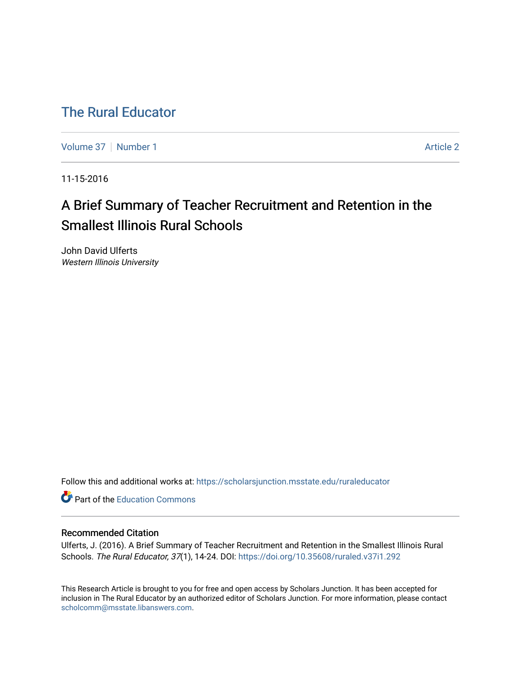# [The Rural Educator](https://scholarsjunction.msstate.edu/ruraleducator)

[Volume 37](https://scholarsjunction.msstate.edu/ruraleducator/vol37) | [Number 1](https://scholarsjunction.msstate.edu/ruraleducator/vol37/iss1) Article 2

11-15-2016

# A Brief Summary of Teacher Recruitment and Retention in the Smallest Illinois Rural Schools

John David Ulferts Western Illinois University

Follow this and additional works at: [https://scholarsjunction.msstate.edu/ruraleducator](https://scholarsjunction.msstate.edu/ruraleducator?utm_source=scholarsjunction.msstate.edu%2Fruraleducator%2Fvol37%2Fiss1%2F2&utm_medium=PDF&utm_campaign=PDFCoverPages)

**C** Part of the [Education Commons](http://network.bepress.com/hgg/discipline/784?utm_source=scholarsjunction.msstate.edu%2Fruraleducator%2Fvol37%2Fiss1%2F2&utm_medium=PDF&utm_campaign=PDFCoverPages)

# Recommended Citation

Ulferts, J. (2016). A Brief Summary of Teacher Recruitment and Retention in the Smallest Illinois Rural Schools. The Rural Educator, 37(1), 14-24. DOI:<https://doi.org/10.35608/ruraled.v37i1.292>

This Research Article is brought to you for free and open access by Scholars Junction. It has been accepted for inclusion in The Rural Educator by an authorized editor of Scholars Junction. For more information, please contact [scholcomm@msstate.libanswers.com.](mailto:scholcomm@msstate.libanswers.com)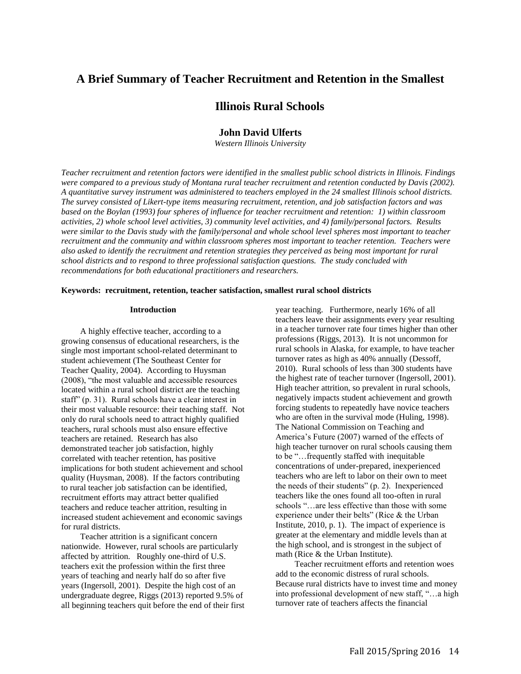# **A Brief Summary of Teacher Recruitment and Retention in the Smallest**

# **Illinois Rural Schools**

# **John David Ulferts**

*Western Illinois University* 

*Teacher recruitment and retention factors were identified in the smallest public school districts in Illinois. Findings*  were compared to a previous study of Montana rural teacher recruitment and retention conducted by Davis (2002). *A quantitative survey instrument was administered to teachers employed in the 24 smallest Illinois school districts. The survey consisted of Likert-type items measuring recruitment, retention, and job satisfaction factors and was based on the Boylan (1993) four spheres of influence for teacher recruitment and retention: 1) within classroom activities, 2) whole school level activities, 3) community level activities, and 4) family/personal factors. Results were similar to the Davis study with the family/personal and whole school level spheres most important to teacher recruitment and the community and within classroom spheres most important to teacher retention. Teachers were also asked to identify the recruitment and retention strategies they perceived as being most important for rural school districts and to respond to three professional satisfaction questions. The study concluded with recommendations for both educational practitioners and researchers.* 

## **Keywords: recruitment, retention, teacher satisfaction, smallest rural school districts**

#### **Introduction**

A highly effective teacher, according to a growing consensus of educational researchers, is the single most important school-related determinant to student achievement (The Southeast Center for Teacher Quality, 2004). According to Huysman (2008), "the most valuable and accessible resources located within a rural school district are the teaching staff" (p. 31). Rural schools have a clear interest in their most valuable resource: their teaching staff. Not only do rural schools need to attract highly qualified teachers, rural schools must also ensure effective teachers are retained. Research has also demonstrated teacher job satisfaction, highly correlated with teacher retention, has positive implications for both student achievement and school quality (Huysman, 2008). If the factors contributing to rural teacher job satisfaction can be identified, recruitment efforts may attract better qualified teachers and reduce teacher attrition, resulting in increased student achievement and economic savings for rural districts.

Teacher attrition is a significant concern nationwide. However, rural schools are particularly affected by attrition. Roughly one-third of U.S. teachers exit the profession within the first three years of teaching and nearly half do so after five years (Ingersoll, 2001). Despite the high cost of an undergraduate degree, Riggs (2013) reported 9.5% of all beginning teachers quit before the end of their first year teaching. Furthermore, nearly 16% of all teachers leave their assignments every year resulting in a teacher turnover rate four times higher than other professions (Riggs, 2013). It is not uncommon for rural schools in Alaska, for example, to have teacher turnover rates as high as 40% annually (Dessoff, 2010). Rural schools of less than 300 students have the highest rate of teacher turnover (Ingersoll, 2001). High teacher attrition, so prevalent in rural schools, negatively impacts student achievement and growth forcing students to repeatedly have novice teachers who are often in the survival mode (Huling, 1998). The National Commission on Teaching and America's Future (2007) warned of the effects of high teacher turnover on rural schools causing them to be "…frequently staffed with inequitable concentrations of under-prepared, inexperienced teachers who are left to labor on their own to meet the needs of their students" (p. 2). Inexperienced teachers like the ones found all too-often in rural schools "…are less effective than those with some experience under their belts" (Rice & the Urban Institute, 2010, p. 1). The impact of experience is greater at the elementary and middle levels than at the high school, and is strongest in the subject of math (Rice & the Urban Institute).

Teacher recruitment efforts and retention woes add to the economic distress of rural schools. Because rural districts have to invest time and money into professional development of new staff, "…a high turnover rate of teachers affects the financial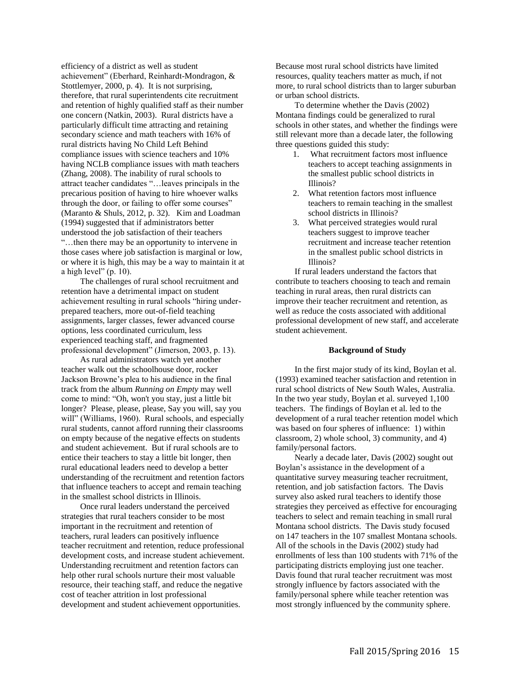efficiency of a district as well as student achievement" (Eberhard, Reinhardt-Mondragon, & Stottlemyer, 2000, p. 4). It is not surprising, therefore, that rural superintendents cite recruitment and retention of highly qualified staff as their number one concern (Natkin, 2003). Rural districts have a particularly difficult time attracting and retaining secondary science and math teachers with 16% of rural districts having No Child Left Behind compliance issues with science teachers and 10% having NCLB compliance issues with math teachers (Zhang, 2008). The inability of rural schools to attract teacher candidates "…leaves principals in the precarious position of having to hire whoever walks through the door, or failing to offer some courses" (Maranto & Shuls, 2012, p. 32). Kim and Loadman (1994) suggested that if administrators better understood the job satisfaction of their teachers "…then there may be an opportunity to intervene in those cases where job satisfaction is marginal or low, or where it is high, this may be a way to maintain it at a high level" (p. 10).

The challenges of rural school recruitment and retention have a detrimental impact on student achievement resulting in rural schools "hiring underprepared teachers, more out-of-field teaching assignments, larger classes, fewer advanced course options, less coordinated curriculum, less experienced teaching staff, and fragmented professional development" (Jimerson, 2003, p. 13).

As rural administrators watch yet another teacher walk out the schoolhouse door, rocker Jackson Browne's plea to his audience in the final track from the album *Running on Empty* may well come to mind: "Oh, won't you stay, just a little bit longer? Please, please, please, Say you will, say you will" (Williams, 1960). Rural schools, and especially rural students, cannot afford running their classrooms on empty because of the negative effects on students and student achievement. But if rural schools are to entice their teachers to stay a little bit longer, then rural educational leaders need to develop a better understanding of the recruitment and retention factors that influence teachers to accept and remain teaching in the smallest school districts in Illinois.

Once rural leaders understand the perceived strategies that rural teachers consider to be most important in the recruitment and retention of teachers, rural leaders can positively influence teacher recruitment and retention, reduce professional development costs, and increase student achievement. Understanding recruitment and retention factors can help other rural schools nurture their most valuable resource, their teaching staff, and reduce the negative cost of teacher attrition in lost professional development and student achievement opportunities.

Because most rural school districts have limited resources, quality teachers matter as much, if not more, to rural school districts than to larger suburban or urban school districts.

To determine whether the Davis (2002) Montana findings could be generalized to rural schools in other states, and whether the findings were still relevant more than a decade later, the following three questions guided this study:

- 1. What recruitment factors most influence teachers to accept teaching assignments in the smallest public school districts in Illinois?
- 2. What retention factors most influence teachers to remain teaching in the smallest school districts in Illinois?
- 3. What perceived strategies would rural teachers suggest to improve teacher recruitment and increase teacher retention in the smallest public school districts in Illinois?

If rural leaders understand the factors that contribute to teachers choosing to teach and remain teaching in rural areas, then rural districts can improve their teacher recruitment and retention, as well as reduce the costs associated with additional professional development of new staff, and accelerate student achievement.

#### **Background of Study**

In the first major study of its kind, Boylan et al. (1993) examined teacher satisfaction and retention in rural school districts of New South Wales, Australia. In the two year study, Boylan et al. surveyed 1,100 teachers. The findings of Boylan et al. led to the development of a rural teacher retention model which was based on four spheres of influence: 1) within classroom, 2) whole school, 3) community, and 4) family/personal factors.

Nearly a decade later, Davis (2002) sought out Boylan's assistance in the development of a quantitative survey measuring teacher recruitment, retention, and job satisfaction factors. The Davis survey also asked rural teachers to identify those strategies they perceived as effective for encouraging teachers to select and remain teaching in small rural Montana school districts. The Davis study focused on 147 teachers in the 107 smallest Montana schools. All of the schools in the Davis (2002) study had enrollments of less than 100 students with 71% of the participating districts employing just one teacher. Davis found that rural teacher recruitment was most strongly influence by factors associated with the family/personal sphere while teacher retention was most strongly influenced by the community sphere.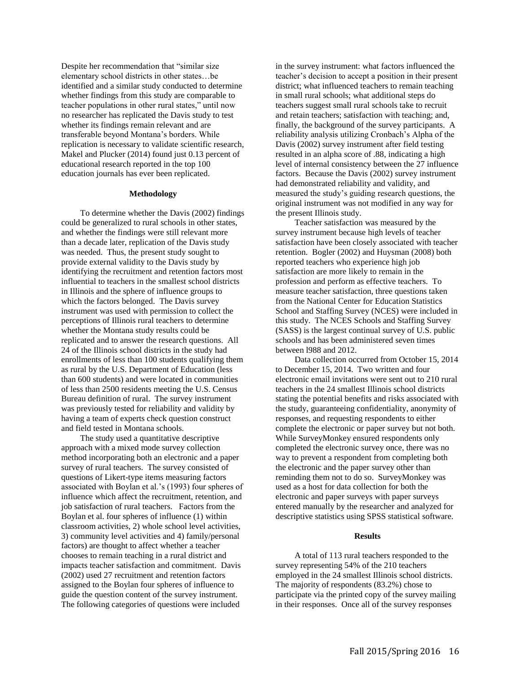Despite her recommendation that "similar size elementary school districts in other states…be identified and a similar study conducted to determine whether findings from this study are comparable to teacher populations in other rural states," until now no researcher has replicated the Davis study to test whether its findings remain relevant and are transferable beyond Montana's borders. While replication is necessary to validate scientific research, Makel and Plucker (2014) found just 0.13 percent of educational research reported in the top 100 education journals has ever been replicated.

#### **Methodology**

To determine whether the Davis (2002) findings could be generalized to rural schools in other states, and whether the findings were still relevant more than a decade later, replication of the Davis study was needed. Thus, the present study sought to provide external validity to the Davis study by identifying the recruitment and retention factors most influential to teachers in the smallest school districts in Illinois and the sphere of influence groups to which the factors belonged. The Davis survey instrument was used with permission to collect the perceptions of Illinois rural teachers to determine whether the Montana study results could be replicated and to answer the research questions. All 24 of the Illinois school districts in the study had enrollments of less than 100 students qualifying them as rural by the U.S. Department of Education (less than 600 students) and were located in communities of less than 2500 residents meeting the U.S. Census Bureau definition of rural. The survey instrument was previously tested for reliability and validity by having a team of experts check question construct and field tested in Montana schools.

The study used a quantitative descriptive approach with a mixed mode survey collection method incorporating both an electronic and a paper survey of rural teachers. The survey consisted of questions of Likert-type items measuring factors associated with Boylan et al.'s (1993) four spheres of influence which affect the recruitment, retention, and job satisfaction of rural teachers. Factors from the Boylan et al. four spheres of influence (1) within classroom activities, 2) whole school level activities, 3) community level activities and 4) family/personal factors) are thought to affect whether a teacher chooses to remain teaching in a rural district and impacts teacher satisfaction and commitment. Davis (2002) used 27 recruitment and retention factors assigned to the Boylan four spheres of influence to guide the question content of the survey instrument. The following categories of questions were included

in the survey instrument: what factors influenced the teacher's decision to accept a position in their present district; what influenced teachers to remain teaching in small rural schools; what additional steps do teachers suggest small rural schools take to recruit and retain teachers; satisfaction with teaching; and, finally, the background of the survey participants. A reliability analysis utilizing Cronbach's Alpha of the Davis (2002) survey instrument after field testing resulted in an alpha score of .88, indicating a high level of internal consistency between the 27 influence factors. Because the Davis (2002) survey instrument had demonstrated reliability and validity, and measured the study's guiding research questions, the original instrument was not modified in any way for the present Illinois study.

Teacher satisfaction was measured by the survey instrument because high levels of teacher satisfaction have been closely associated with teacher retention. Bogler (2002) and Huysman (2008) both reported teachers who experience high job satisfaction are more likely to remain in the profession and perform as effective teachers. To measure teacher satisfaction, three questions taken from the National Center for Education Statistics School and Staffing Survey (NCES) were included in this study. The NCES Schools and Staffing Survey (SASS) is the largest continual survey of U.S. public schools and has been administered seven times between l988 and 2012.

Data collection occurred from October 15, 2014 to December 15, 2014. Two written and four electronic email invitations were sent out to 210 rural teachers in the 24 smallest Illinois school districts stating the potential benefits and risks associated with the study, guaranteeing confidentiality, anonymity of responses, and requesting respondents to either complete the electronic or paper survey but not both. While SurveyMonkey ensured respondents only completed the electronic survey once, there was no way to prevent a respondent from completing both the electronic and the paper survey other than reminding them not to do so. SurveyMonkey was used as a host for data collection for both the electronic and paper surveys with paper surveys entered manually by the researcher and analyzed for descriptive statistics using SPSS statistical software.

#### **Results**

A total of 113 rural teachers responded to the survey representing 54% of the 210 teachers employed in the 24 smallest Illinois school districts. The majority of respondents (83.2%) chose to participate via the printed copy of the survey mailing in their responses. Once all of the survey responses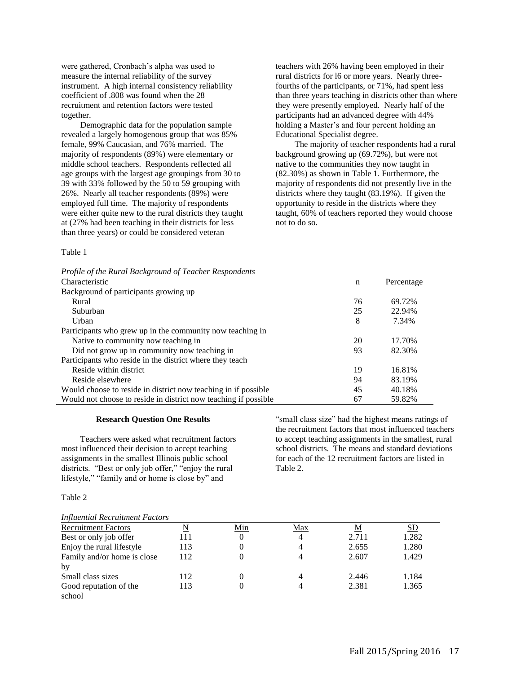were gathered, Cronbach's alpha was used to measure the internal reliability of the survey instrument. A high internal consistency reliability coefficient of .808 was found when the 28 recruitment and retention factors were tested together.

Demographic data for the population sample revealed a largely homogenous group that was 85% female, 99% Caucasian, and 76% married. The majority of respondents (89%) were elementary or middle school teachers. Respondents reflected all age groups with the largest age groupings from 30 to 39 with 33% followed by the 50 to 59 grouping with 26%. Nearly all teacher respondents (89%) were employed full time. The majority of respondents were either quite new to the rural districts they taught at (27% had been teaching in their districts for less than three years) or could be considered veteran

teachers with 26% having been employed in their rural districts for l6 or more years. Nearly threefourths of the participants, or 71%, had spent less than three years teaching in districts other than where they were presently employed. Nearly half of the participants had an advanced degree with 44% holding a Master's and four percent holding an Educational Specialist degree.

The majority of teacher respondents had a rural background growing up (69.72%), but were not native to the communities they now taught in (82.30%) as shown in Table 1. Furthermore, the majority of respondents did not presently live in the districts where they taught (83.19%). If given the opportunity to reside in the districts where they taught, 60% of teachers reported they would choose not to do so.

Table 1

|  |  |  | Profile of the Rural Background of Teacher Respondents |
|--|--|--|--------------------------------------------------------|
|  |  |  |                                                        |

| Profile of the Kural Background of Leacher Respondents          |                 |            |
|-----------------------------------------------------------------|-----------------|------------|
| Characteristic                                                  | $\underline{n}$ | Percentage |
| Background of participants growing up                           |                 |            |
| Rural                                                           | 76              | 69.72%     |
| Suburban                                                        | 25              | 22.94%     |
| Urban                                                           | 8               | 7.34%      |
| Participants who grew up in the community now teaching in       |                 |            |
| Native to community now teaching in                             | 20              | 17.70%     |
| Did not grow up in community now teaching in                    | 93              | 82.30%     |
| Participants who reside in the district where they teach        |                 |            |
| Reside within district                                          | 19              | 16.81%     |
| Reside elsewhere                                                | 94              | 83.19%     |
| Would choose to reside in district now teaching in if possible  | 45              | 40.18%     |
| Would not choose to reside in district now teaching if possible | 67              | 59.82%     |

#### **Research Question One Results**

Teachers were asked what recruitment factors most influenced their decision to accept teaching assignments in the smallest Illinois public school districts. "Best or only job offer," "enjoy the rural lifestyle," "family and or home is close by" and

"small class size" had the highest means ratings of the recruitment factors that most influenced teachers to accept teaching assignments in the smallest, rural school districts. The means and standard deviations for each of the 12 recruitment factors are listed in Table 2.

#### Table 2

| <b>Recruitment Factors</b>  | $\overline{\mathbf{N}}$ | <u>Min</u> | Max | M     | <u>SD</u> |
|-----------------------------|-------------------------|------------|-----|-------|-----------|
| Best or only job offer      | 111                     |            | 4   | 2.711 | 1.282     |
| Enjoy the rural lifestyle   | 113                     |            |     | 2.655 | 1.280     |
| Family and/or home is close | 112                     |            |     | 2.607 | 1.429     |
| by                          |                         |            |     |       |           |
| Small class sizes           | 112                     |            |     | 2.446 | 1.184     |
| Good reputation of the      | 113                     |            |     | 2.381 | 1.365     |
| school                      |                         |            |     |       |           |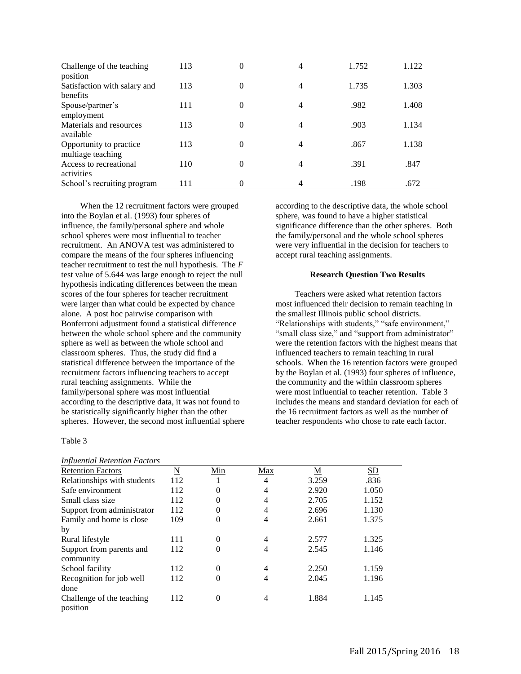| Challenge of the teaching<br>position        | 113 | $\theta$ | 4              | 1.752 | 1.122 |
|----------------------------------------------|-----|----------|----------------|-------|-------|
| Satisfaction with salary and<br>benefits     | 113 | 0        | $\overline{4}$ | 1.735 | 1.303 |
| Spouse/partner's<br>employment               | 111 | 0        | 4              | .982  | 1.408 |
| Materials and resources<br>available         | 113 | $\theta$ | 4              | .903  | 1.134 |
| Opportunity to practice<br>multiage teaching | 113 | 0        | 4              | .867  | 1.138 |
| Access to recreational<br>activities         | 110 | $\theta$ | $\overline{4}$ | .391  | .847  |
| School's recruiting program                  | 111 | 0        | 4              | .198  | .672  |

When the 12 recruitment factors were grouped into the Boylan et al. (1993) four spheres of influence, the family/personal sphere and whole school spheres were most influential to teacher recruitment. An ANOVA test was administered to compare the means of the four spheres influencing teacher recruitment to test the null hypothesis. The *F* test value of 5.644 was large enough to reject the null hypothesis indicating differences between the mean scores of the four spheres for teacher recruitment were larger than what could be expected by chance alone. A post hoc pairwise comparison with Bonferroni adjustment found a statistical difference between the whole school sphere and the community sphere as well as between the whole school and classroom spheres. Thus, the study did find a statistical difference between the importance of the recruitment factors influencing teachers to accept rural teaching assignments. While the family/personal sphere was most influential according to the descriptive data, it was not found to be statistically significantly higher than the other spheres. However, the second most influential sphere

Table 3

# *Influential Retention Factors*

according to the descriptive data, the whole school sphere, was found to have a higher statistical significance difference than the other spheres. Both the family/personal and the whole school spheres were very influential in the decision for teachers to accept rural teaching assignments.

#### **Research Question Two Results**

Teachers were asked what retention factors most influenced their decision to remain teaching in the smallest Illinois public school districts. "Relationships with students," "safe environment," "small class size," and "support from administrator" were the retention factors with the highest means that influenced teachers to remain teaching in rural schools. When the 16 retention factors were grouped by the Boylan et al. (1993) four spheres of influence, the community and the within classroom spheres were most influential to teacher retention. Table 3 includes the means and standard deviation for each of the 16 recruitment factors as well as the number of teacher respondents who chose to rate each factor.

| <i>INJURENIUM INTERNIUM FUCIOIS</i> |                    |          |     |       |       |
|-------------------------------------|--------------------|----------|-----|-------|-------|
| <b>Retention Factors</b>            | $\overline{\rm N}$ | Min      | Max | М     | SD    |
| Relationships with students         | 112                |          | 4   | 3.259 | .836  |
| Safe environment                    | 112                | $\theta$ | 4   | 2.920 | 1.050 |
| Small class size                    | 112                | $\theta$ | 4   | 2.705 | 1.152 |
| Support from administrator          | 112                | $\theta$ | 4   | 2.696 | 1.130 |
| Family and home is close            | 109                | $\theta$ | 4   | 2.661 | 1.375 |
| by                                  |                    |          |     |       |       |
| Rural lifestyle                     | 111                | $\theta$ | 4   | 2.577 | 1.325 |
| Support from parents and            | 112                | $\theta$ | 4   | 2.545 | 1.146 |
| community                           |                    |          |     |       |       |
| School facility                     | 112                | $\theta$ | 4   | 2.250 | 1.159 |
| Recognition for job well            | 112                | $\theta$ | 4   | 2.045 | 1.196 |
| done                                |                    |          |     |       |       |
| Challenge of the teaching           | 112                | $\Omega$ | 4   | 1.884 | 1.145 |
| position                            |                    |          |     |       |       |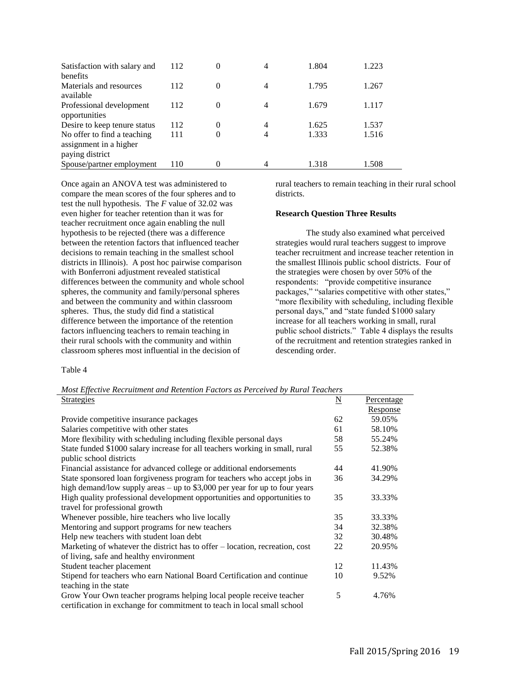| Satisfaction with salary and<br>henefits                                 | 112 | 0 | 4 | 1.804 | 1.223 |
|--------------------------------------------------------------------------|-----|---|---|-------|-------|
| Materials and resources<br>available                                     | 112 | 0 | 4 | 1.795 | 1.267 |
| Professional development<br>opportunities                                | 112 | 0 | 4 | 1.679 | 1.117 |
| Desire to keep tenure status                                             | 112 | 0 | 4 | 1.625 | 1.537 |
| No offer to find a teaching<br>assignment in a higher<br>paying district | 111 |   | 4 | 1.333 | 1.516 |
| Spouse/partner employment                                                | 110 |   | 4 | 1.318 | 1.508 |

Once again an ANOVA test was administered to compare the mean scores of the four spheres and to test the null hypothesis. The *F* value of 32.02 was even higher for teacher retention than it was for teacher recruitment once again enabling the null hypothesis to be rejected (there was a difference between the retention factors that influenced teacher decisions to remain teaching in the smallest school districts in Illinois). A post hoc pairwise comparison with Bonferroni adjustment revealed statistical differences between the community and whole school spheres, the community and family/personal spheres and between the community and within classroom spheres. Thus, the study did find a statistical difference between the importance of the retention factors influencing teachers to remain teaching in their rural schools with the community and within classroom spheres most influential in the decision of

rural teachers to remain teaching in their rural school districts.

#### **Research Question Three Results**

The study also examined what perceived strategies would rural teachers suggest to improve teacher recruitment and increase teacher retention in the smallest Illinois public school districts. Four of the strategies were chosen by over 50% of the respondents: "provide competitive insurance packages," "salaries competitive with other states," "more flexibility with scheduling, including flexible personal days," and "state funded \$1000 salary increase for all teachers working in small, rural public school districts." Table 4 displays the results of the recruitment and retention strategies ranked in descending order.

Table 4

*Most Effective Recruitment and Retention Factors as Perceived by Rural Teachers*  Strategies N Percentage

|                                                                              |    | Response |
|------------------------------------------------------------------------------|----|----------|
| Provide competitive insurance packages                                       | 62 | 59.05%   |
| Salaries competitive with other states                                       | 61 | 58.10%   |
| More flexibility with scheduling including flexible personal days            | 58 | 55.24%   |
| State funded \$1000 salary increase for all teachers working in small, rural | 55 | 52.38%   |
| public school districts                                                      |    |          |
| Financial assistance for advanced college or additional endorsements         | 44 | 41.90%   |
| State sponsored loan forgiveness program for teachers who accept jobs in     | 36 | 34.29%   |
| high demand/low supply areas $-$ up to \$3,000 per year for up to four years |    |          |
| High quality professional development opportunities and opportunities to     | 35 | 33.33%   |
| travel for professional growth                                               |    |          |
| Whenever possible, hire teachers who live locally                            | 35 | 33.33%   |
| Mentoring and support programs for new teachers                              | 34 | 32.38%   |
| Help new teachers with student loan debt                                     | 32 | 30.48%   |
| Marketing of whatever the district has to offer – location, recreation, cost | 22 | 20.95%   |
| of living, safe and healthy environment                                      |    |          |
| Student teacher placement                                                    | 12 | 11.43%   |
| Stipend for teachers who earn National Board Certification and continue      | 10 | 9.52%    |
| teaching in the state                                                        |    |          |
| Grow Your Own teacher programs helping local people receive teacher          | 5  | 4.76%    |
| certification in exchange for commitment to teach in local small school      |    |          |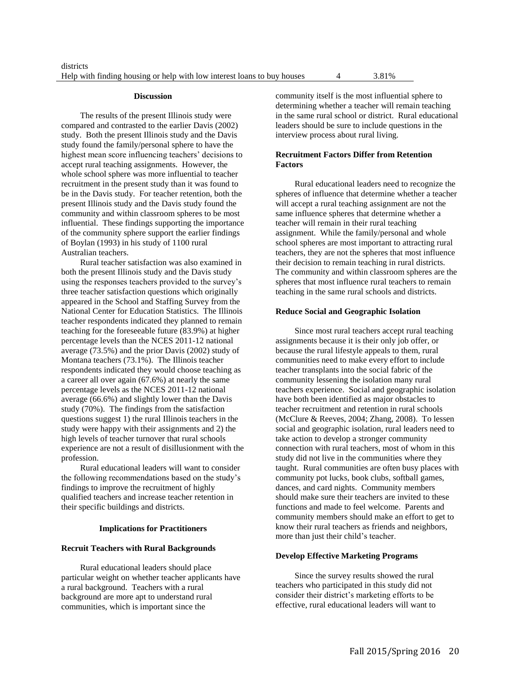#### **Discussion**

The results of the present Illinois study were compared and contrasted to the earlier Davis (2002) study. Both the present Illinois study and the Davis study found the family/personal sphere to have the highest mean score influencing teachers' decisions to accept rural teaching assignments. However, the whole school sphere was more influential to teacher recruitment in the present study than it was found to be in the Davis study. For teacher retention, both the present Illinois study and the Davis study found the community and within classroom spheres to be most influential. These findings supporting the importance of the community sphere support the earlier findings of Boylan (1993) in his study of 1100 rural Australian teachers.

Rural teacher satisfaction was also examined in both the present Illinois study and the Davis study using the responses teachers provided to the survey's three teacher satisfaction questions which originally appeared in the School and Staffing Survey from the National Center for Education Statistics. The Illinois teacher respondents indicated they planned to remain teaching for the foreseeable future (83.9%) at higher percentage levels than the NCES 2011-12 national average (73.5%) and the prior Davis (2002) study of Montana teachers (73.1%). The Illinois teacher respondents indicated they would choose teaching as a career all over again (67.6%) at nearly the same percentage levels as the NCES 2011-12 national average (66.6%) and slightly lower than the Davis study (70%). The findings from the satisfaction questions suggest 1) the rural Illinois teachers in the study were happy with their assignments and 2) the high levels of teacher turnover that rural schools experience are not a result of disillusionment with the profession.

Rural educational leaders will want to consider the following recommendations based on the study's findings to improve the recruitment of highly qualified teachers and increase teacher retention in their specific buildings and districts.

## **Implications for Practitioners**

#### **Recruit Teachers with Rural Backgrounds**

Rural educational leaders should place particular weight on whether teacher applicants have a rural background. Teachers with a rural background are more apt to understand rural communities, which is important since the

community itself is the most influential sphere to determining whether a teacher will remain teaching in the same rural school or district. Rural educational leaders should be sure to include questions in the interview process about rural living.

# **Recruitment Factors Differ from Retention Factors**

Rural educational leaders need to recognize the spheres of influence that determine whether a teacher will accept a rural teaching assignment are not the same influence spheres that determine whether a teacher will remain in their rural teaching assignment. While the family/personal and whole school spheres are most important to attracting rural teachers, they are not the spheres that most influence their decision to remain teaching in rural districts. The community and within classroom spheres are the spheres that most influence rural teachers to remain teaching in the same rural schools and districts.

#### **Reduce Social and Geographic Isolation**

Since most rural teachers accept rural teaching assignments because it is their only job offer, or because the rural lifestyle appeals to them, rural communities need to make every effort to include teacher transplants into the social fabric of the community lessening the isolation many rural teachers experience. Social and geographic isolation have both been identified as major obstacles to teacher recruitment and retention in rural schools (McClure & Reeves, 2004; Zhang, 2008). To lessen social and geographic isolation, rural leaders need to take action to develop a stronger community connection with rural teachers, most of whom in this study did not live in the communities where they taught. Rural communities are often busy places with community pot lucks, book clubs, softball games, dances, and card nights. Community members should make sure their teachers are invited to these functions and made to feel welcome. Parents and community members should make an effort to get to know their rural teachers as friends and neighbors, more than just their child's teacher.

#### **Develop Effective Marketing Programs**

Since the survey results showed the rural teachers who participated in this study did not consider their district's marketing efforts to be effective, rural educational leaders will want to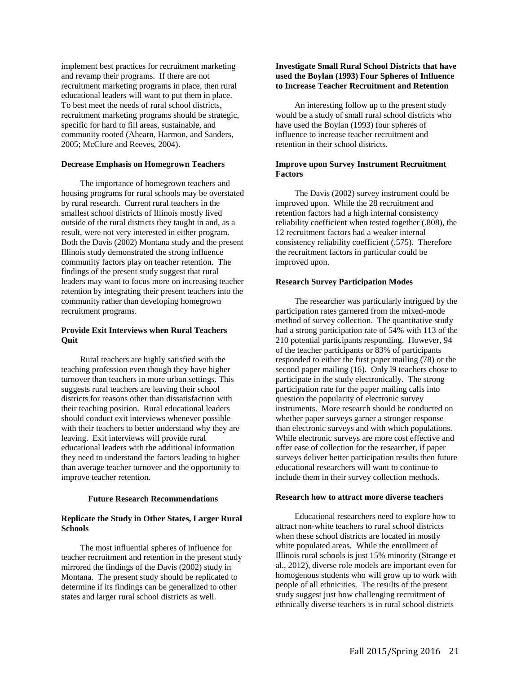implement best practices for recruitment marketing and revamp their programs. If there are not recruitment marketing programs in place, then rural educational leaders will want to put them in place. To best meet the needs of rural school districts, recruitment marketing programs should be strategic, specific for hard to fill areas, sustainable, and community rooted (Ahearn, Harmon, and Sanders, 2005; McClure and Reeves, 2004).

# **Decrease Emphasis on Homegrown Teachers**

The importance of homegrown teachers and housing programs for rural schools may be overstated by rural research. Current rural teachers in the smallest school districts of Illinois mostly lived outside of the rural districts they taught in and, as a result, were not very interested in either program. Both the Davis (2002) Montana study and the present Illinois study demonstrated the strong influence community factors play on teacher retention. The findings of the present study suggest that rural leaders may want to focus more on increasing teacher retention by integrating their present teachers into the community rather than developing homegrown recruitment programs.

# **Provide Exit Interviews when Rural Teachers Quit**

Rural teachers are highly satisfied with the teaching profession even though they have higher turnover than teachers in more urban settings. This suggests rural teachers are leaving their school districts for reasons other than dissatisfaction with their teaching position. Rural educational leaders should conduct exit interviews whenever possible with their teachers to better understand why they are leaving. Exit interviews will provide rural educational leaders with the additional information they need to understand the factors leading to higher than average teacher turnover and the opportunity to improve teacher retention.

#### **Future Research Recommendations**

#### **Replicate the Study in Other States, Larger Rural Schools**

The most influential spheres of influence for teacher recruitment and retention in the present study mirrored the findings of the Davis (2002) study in Montana. The present study should be replicated to determine if its findings can be generalized to other states and larger rural school districts as well.

# **Investigate Small Rural School Districts that have used the Boylan (1993) Four Spheres of Influence to Increase Teacher Recruitment and Retention**

An interesting follow up to the present study would be a study of small rural school districts who have used the Boylan (1993) four spheres of influence to increase teacher recruitment and retention in their school districts.

# **Improve upon Survey Instrument Recruitment Factors**

The Davis (2002) survey instrument could be improved upon. While the 28 recruitment and retention factors had a high internal consistency reliability coefficient when tested together (.808), the 12 recruitment factors had a weaker internal consistency reliability coefficient (.575). Therefore the recruitment factors in particular could be improved upon.

# **Research Survey Participation Modes**

The researcher was particularly intrigued by the participation rates garnered from the mixed-mode method of survey collection. The quantitative study had a strong participation rate of 54% with 113 of the 210 potential participants responding. However, 94 of the teacher participants or 83% of participants responded to either the first paper mailing (78) or the second paper mailing (16). Only 19 teachers chose to participate in the study electronically. The strong participation rate for the paper mailing calls into question the popularity of electronic survey instruments. More research should be conducted on whether paper surveys garner a stronger response than electronic surveys and with which populations. While electronic surveys are more cost effective and offer ease of collection for the researcher, if paper surveys deliver better participation results then future educational researchers will want to continue to include them in their survey collection methods.

## **Research how to attract more diverse teachers**

Educational researchers need to explore how to attract non-white teachers to rural school districts when these school districts are located in mostly white populated areas.While the enrollment of Illinois rural schools is just 15% minority (Strange et al., 2012), diverse role models are important even for homogenous students who will grow up to work with people of all ethnicities. The results of the present study suggest just how challenging recruitment of ethnically diverse teachers is in rural school districts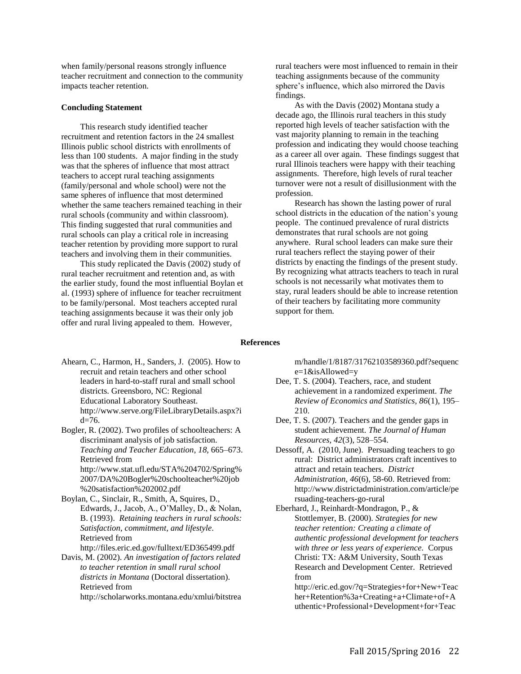when family/personal reasons strongly influence teacher recruitment and connection to the community impacts teacher retention.

#### **Concluding Statement**

This research study identified teacher recruitment and retention factors in the 24 smallest Illinois public school districts with enrollments of less than 100 students. A major finding in the study was that the spheres of influence that most attract teachers to accept rural teaching assignments (family/personal and whole school) were not the same spheres of influence that most determined whether the same teachers remained teaching in their rural schools (community and within classroom). This finding suggested that rural communities and rural schools can play a critical role in increasing teacher retention by providing more support to rural teachers and involving them in their communities.

This study replicated the Davis (2002) study of rural teacher recruitment and retention and, as with the earlier study, found the most influential Boylan et al. (1993) sphere of influence for teacher recruitment to be family/personal. Most teachers accepted rural teaching assignments because it was their only job offer and rural living appealed to them. However,

rural teachers were most influenced to remain in their teaching assignments because of the community sphere's influence, which also mirrored the Davis findings.

As with the Davis (2002) Montana study a decade ago, the Illinois rural teachers in this study reported high levels of teacher satisfaction with the vast majority planning to remain in the teaching profession and indicating they would choose teaching as a career all over again. These findings suggest that rural Illinois teachers were happy with their teaching assignments. Therefore, high levels of rural teacher turnover were not a result of disillusionment with the profession.

Research has shown the lasting power of rural school districts in the education of the nation's young people. The continued prevalence of rural districts demonstrates that rural schools are not going anywhere. Rural school leaders can make sure their rural teachers reflect the staying power of their districts by enacting the findings of the present study. By recognizing what attracts teachers to teach in rural schools is not necessarily what motivates them to stay, rural leaders should be able to increase retention of their teachers by facilitating more community support for them.

# **References**

Ahearn, C., Harmon, H., Sanders, J. (2005). How to recruit and retain teachers and other school leaders in hard-to-staff rural and small school districts. Greensboro, NC: Regional Educational Laboratory Southeast. http://www.serve.org/FileLibraryDetails.aspx?i d=76.

Bogler, R. (2002). Two profiles of schoolteachers: A discriminant analysis of job satisfaction. *Teaching and Teacher Education*, *18*, 665–673. Retrieved from http://www.stat.ufl.edu/STA%204702/Spring% 2007/DA%20Bogler%20schoolteacher%20job

%20satisfaction%202002.pdf Boylan, C., Sinclair, R., Smith, A, Squires, D., Edwards, J., Jacob, A., O'Malley, D., & Nolan, B. (1993). *Retaining teachers in rural schools: Satisfaction, commitment, and lifestyle*. Retrieved from

http://files.eric.ed.gov/fulltext/ED365499.pdf Davis, M. (2002). *An investigation of factors related to teacher retention in small rural school districts in Montana* (Doctoral dissertation). Retrieved from

http://scholarworks.montana.edu/xmlui/bitstrea

m/handle/1/8187/31762103589360.pdf?sequenc e=1&isAllowed=y

- Dee, T. S. (2004). Teachers, race, and student achievement in a randomized experiment. *The Review of Economics and Statistics, 86*(1)*,* 195– 210.
- Dee, T. S. (2007). Teachers and the gender gaps in student achievement. *The Journal of Human Resources, 42*(3), 528–554.
- Dessoff, A. (2010, June). Persuading teachers to go rural: District administrators craft incentives to attract and retain teachers. *District Administration, 46*(6), 58-60. Retrieved from: http://www.districtadministration.com/article/pe rsuading-teachers-go-rural
- Eberhard, J., Reinhardt-Mondragon, P., & Stottlemyer, B. (2000). *Strategies for new teacher retention: Creating a climate of authentic professional development for teachers with three or less years of experience.* Corpus Christi: TX: A&M University, South Texas Research and Development Center. Retrieved from

http://eric.ed.gov/?q=Strategies+for+New+Teac her+Retention%3a+Creating+a+Climate+of+A uthentic+Professional+Development+for+Teac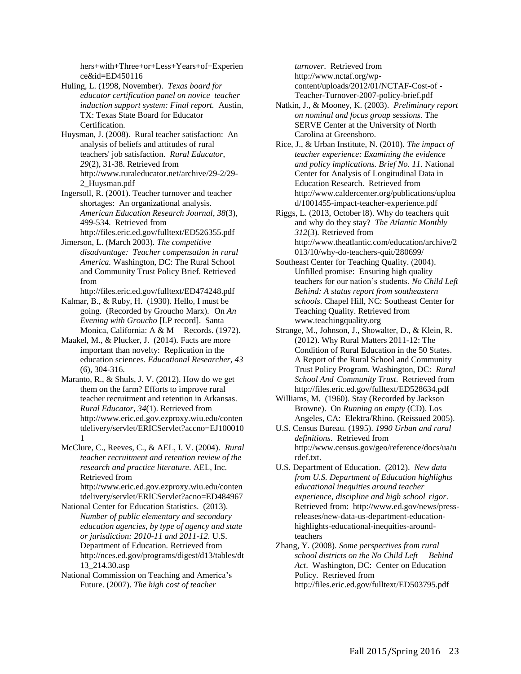hers+with+Three+or+Less+Years+of+Experien ce&id=ED450116

Huling, L. (1998, November). *Texas board for educator certification panel on novice teacher induction support system: Final report.* Austin, TX: Texas State Board for Educator Certification.

Huysman, J. (2008). Rural teacher satisfaction: An analysis of beliefs and attitudes of rural teachers' job satisfaction. *Rural Educator*, *29*(2), 31-38. Retrieved from http://www.ruraleducator.net/archive/29-2/29- 2\_Huysman.pdf

Ingersoll, R. (2001). Teacher turnover and teacher shortages: An organizational analysis. *American Education Research Journal*, *38*(3), 499-534. Retrieved from

http://files.eric.ed.gov/fulltext/ED526355.pdf

Jimerson, L. (March 2003). *The competitive disadvantage: Teacher compensation in rural America.* Washington, DC: The Rural School and Community Trust Policy Brief. Retrieved from

http://files.eric.ed.gov/fulltext/ED474248.pdf Kalmar, B., & Ruby, H. (1930). Hello, I must be going. (Recorded by Groucho Marx). On *An Evening with Groucho* [LP record]. Santa Monica, California: A & M Records. (1972).

Maakel, M., & Plucker, J. (2014). Facts are more important than novelty: Replication in the education sciences. *Educational Researcher, 43* (6), 304-316.

Maranto, R., & Shuls, J. V. (2012). How do we get them on the farm? Efforts to improve rural teacher recruitment and retention in Arkansas. *Rural Educator*, *34*(1). Retrieved from http://www.eric.ed.gov.ezproxy.wiu.edu/conten tdelivery/servlet/ERICServlet?accno=EJ100010 1

McClure, C., Reeves, C., & AEL, I. V. (2004). *Rural teacher recruitment and retention review of the research and practice literature*. AEL, Inc*.*  Retrieved from http://www.eric.ed.gov.ezproxy.wiu.edu/conten tdelivery/servlet/ERICServlet?acno=ED484967

National Center for Education Statistics. (2013). *Number of public elementary and secondary education agencies, by type of agency and state or jurisdiction: 2010-11 and 2011-12.* U.S. Department of Education*.* Retrieved from http://nces.ed.gov/programs/digest/d13/tables/dt 13\_214.30.asp

National Commission on Teaching and America's Future. (2007). *The high cost of teacher* 

*turnover*. Retrieved from http://www.nctaf.org/wpcontent/uploads/2012/01/NCTAF-Cost-of - Teacher-Turnover-2007-policy-brief.pdf

Natkin, J., & Mooney, K. (2003). *Preliminary report on nominal and focus group sessions.* The SERVE Center at the University of North Carolina at Greensboro.

Rice, J., & Urban Institute, N. (2010). *The impact of teacher experience: Examining the evidence and policy implications. Brief No. 11.* National Center for Analysis of Longitudinal Data in Education Research. Retrieved from http://www.caldercenter.org/publications/uploa d/1001455-impact-teacher-experience.pdf

Riggs, L. (2013, October l8). Why do teachers quit and why do they stay? *The Atlantic Monthly 312*(3)*.* Retrieved from http://www.theatlantic.com/education/archive/2 013/10/why-do-teachers-quit/280699/

Southeast Center for Teaching Quality. (2004). Unfilled promise: Ensuring high quality teachers for our nation's students. *No Child Left Behind: A status report from southeastern schools*. Chapel Hill, NC: Southeast Center for Teaching Quality. Retrieved from www.teachingquality.org

Strange, M., Johnson, J., Showalter, D., & Klein, R. (2012). Why Rural Matters 2011-12: The Condition of Rural Education in the 50 States. A Report of the Rural School and Community Trust Policy Program. Washington, DC: *Rural School And Community Trust*. Retrieved from http://files.eric.ed.gov/fulltext/ED528634.pdf

Williams, M. (1960). Stay (Recorded by Jackson Browne). On *Running on empty* (CD). Los Angeles, CA: Elektra/Rhino. (Reissued 2005).

U.S. Census Bureau. (1995). *1990 Urban and rural definitions*. Retrieved from http://www.census.gov/geo/reference/docs/ua/u rdef.txt.

U.S. Department of Education. (2012). *New data from U.S. Department of Education highlights educational inequities around teacher experience, discipline and high school rigor*. Retrieved from: http://www.ed.gov/news/pressreleases/new-data-us-department-educationhighlights-educational-inequities-aroundteachers

Zhang, Y. (2008). *Some perspectives from rural school districts on the No Child Left Behind Act*. Washington, DC: Center on Education Policy. Retrieved from http://files.eric.ed.gov/fulltext/ED503795.pdf